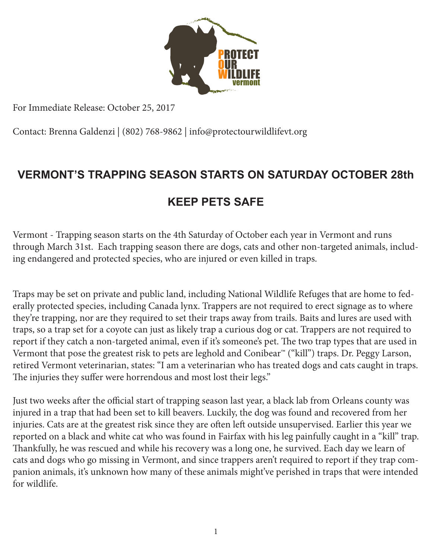

For Immediate Release: October 25, 2017

Contact: Brenna Galdenzi | (802) 768-9862 | info@protectourwildlifevt.org

## **VERMONT'S TRAPPING SEASON STARTS ON SATURDAY OCTOBER 28th**

## **KEEP PETS SAFE**

Vermont - Trapping season starts on the 4th Saturday of October each year in Vermont and runs through March 31st. Each trapping season there are dogs, cats and other non-targeted animals, including endangered and protected species, who are injured or even killed in traps.

Traps may be set on private and public land, including National Wildlife Refuges that are home to federally protected species, including Canada lynx. Trappers are not required to erect signage as to where they're trapping, nor are they required to set their traps away from trails. Baits and lures are used with traps, so a trap set for a coyote can just as likely trap a curious dog or cat. Trappers are not required to report if they catch a non-targeted animal, even if it's someone's pet. The two trap types that are used in Vermont that pose the greatest risk to pets are leghold and Conibear™ ("kill") traps. Dr. Peggy Larson, retired Vermont veterinarian, states: "I am a veterinarian who has treated dogs and cats caught in traps. The injuries they suffer were horrendous and most lost their legs."

Just two weeks after the official start of trapping season last year, a black lab from Orleans county was injured in a trap that had been set to kill beavers. Luckily, the dog was found and recovered from her injuries. Cats are at the greatest risk since they are often left outside unsupervised. Earlier this year we reported on a black and white cat who was found in Fairfax with his leg painfully caught in a "kill" trap. Thankfully, he was rescued and while his recovery was a long one, he survived. Each day we learn of cats and dogs who go missing in Vermont, and since trappers aren't required to report if they trap companion animals, it's unknown how many of these animals might've perished in traps that were intended for wildlife.